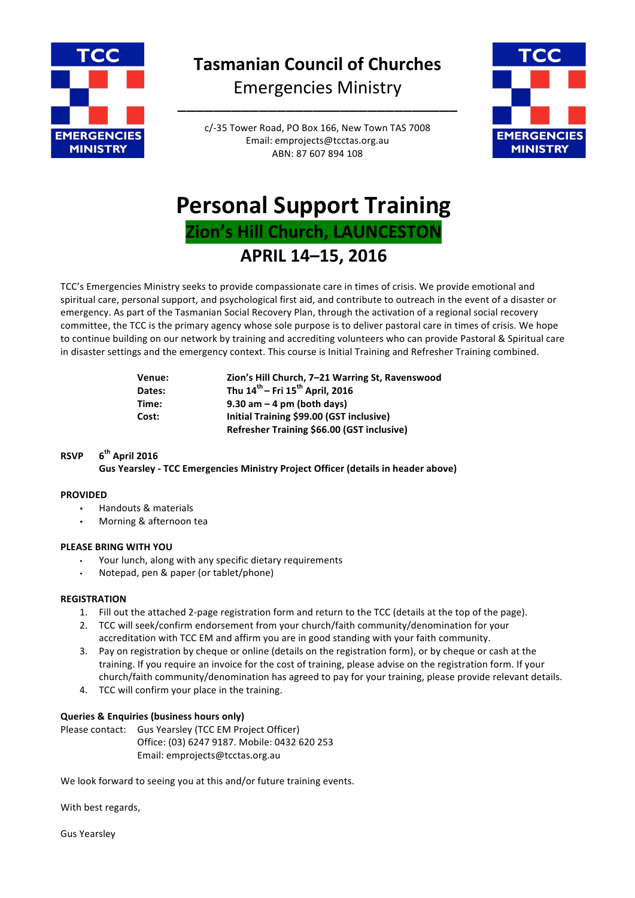

**Tasmanian Council of Churches** Emergencies Ministry

–––––––––––––––––––––––––––––––

c/-35 Tower Road, PO Box 166, New Town TAS 7008 Email: emprojects@tcctas.org.au ABN: 87 607 894 108



# **Personal Support Training Zion's Hill Church, LAUNCESTON APRIL 14–15, 2016**

TCC's Emergencies Ministry seeks to provide compassionate care in times of crisis. We provide emotional and spiritual care, personal support, and psychological first aid, and contribute to outreach in the event of a disaster or emergency. As part of the Tasmanian Social Recovery Plan, through the activation of a regional social recovery committee, the TCC is the primary agency whose sole purpose is to deliver pastoral care in times of crisis. We hope to continue building on our network by training and accrediting volunteers who can provide Pastoral & Spiritual care in disaster settings and the emergency context. This course is Initial Training and Refresher Training combined.

| Venue: | Zion's Hill Church, 7-21 Warring St, Ravenswood         |
|--------|---------------------------------------------------------|
| Dates: | Thu $14^{\text{th}}$ – Fri $15^{\text{th}}$ April, 2016 |
| Time:  | $9.30$ am $-4$ pm (both days)                           |
| Cost:  | Initial Training \$99.00 (GST inclusive)                |
|        | Refresher Training \$66.00 (GST inclusive)              |

# **RSVP 6th April 2016**

Gus Yearsley - TCC Emergencies Ministry Project Officer (details in header above)

### **PROVIDED**

- Handouts & materials
- Morning & afternoon tea

### **PLEASE BRING WITH YOU**

- Your lunch, along with any specific dietary requirements
- Notepad, pen & paper (or tablet/phone)

### **REGISTRATION**

- 1. Fill out the attached 2-page registration form and return to the TCC (details at the top of the page).
- 2. TCC will seek/confirm endorsement from your church/faith community/denomination for your accreditation with TCC EM and affirm you are in good standing with your faith community.
- 3. Pay on registration by cheque or online (details on the registration form), or by cheque or cash at the training. If you require an invoice for the cost of training, please advise on the registration form. If your church/faith community/denomination has agreed to pay for your training, please provide relevant details.
- 4. TCC will confirm your place in the training.

### **Queries & Enquiries (business hours only)**

Please contact: Gus Yearsley (TCC EM Project Officer) Office: (03) 6247 9187. Mobile: 0432 620 253 Email: emprojects@tcctas.org.au

We look forward to seeing you at this and/or future training events.

With best regards,

Gus Yearsley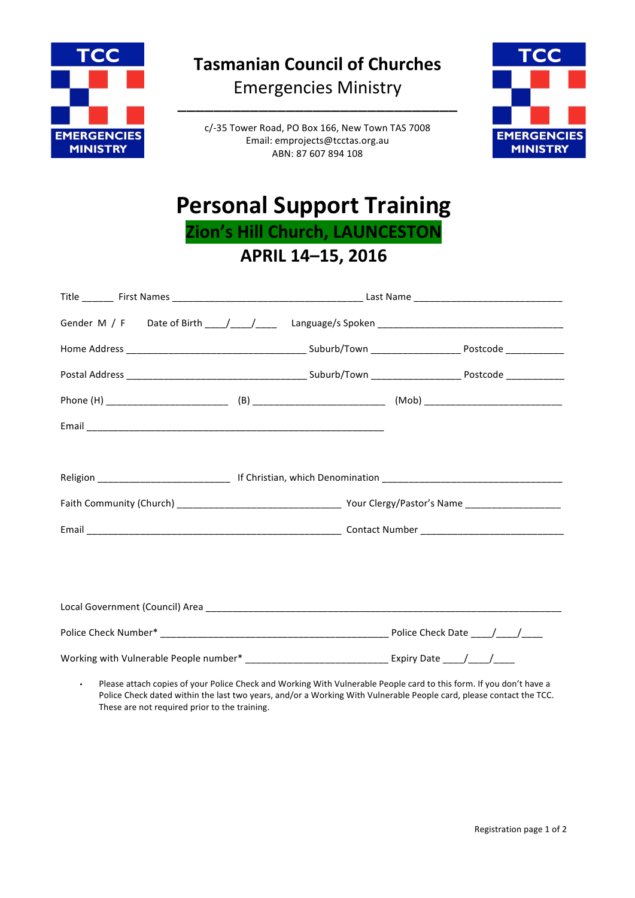

**Tasmanian Council of Churches** Emergencies Ministry

–––––––––––––––––––––––––––––––

c/-35 Tower Road, PO Box 166, New Town TAS 7008 Email: emprojects@tcctas.org.au ABN: 87 607 894 108



# **Personal Support Training Zion's Hill Church, LAUNCESTON**

**APRIL 14–15, 2016**

| Working with Vulnerable People number* ________________________________Expiry Date ____/___/_____                                                                                                                                 |  |  |  |
|-----------------------------------------------------------------------------------------------------------------------------------------------------------------------------------------------------------------------------------|--|--|--|
| $\mathbb{R}$ . The contract of the contract of the contract of the contract of the contract of the contract of the contract of the contract of the contract of the contract of the contract of the contract of the contract of th |  |  |  |

• Please attach copies of your Police Check and Working With Vulnerable People card to this form. If you don't have a Police Check dated within the last two years, and/or a Working With Vulnerable People card, please contact the TCC. These are not required prior to the training.